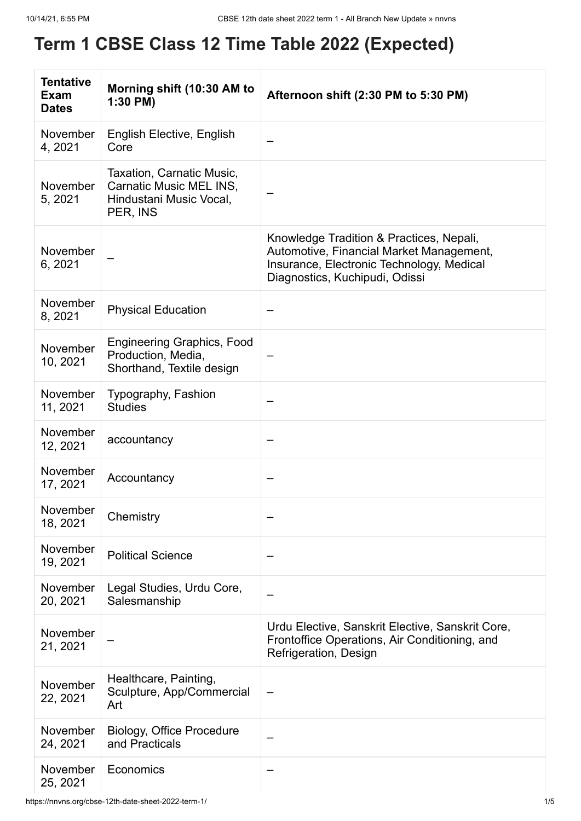## **Term 1 CBSE Class 12 Time Table 2022 (Expected)**

| <b>Tentative</b><br><b>Exam</b><br><b>Dates</b> | Morning shift (10:30 AM to<br>1:30 PM)                                                      | Afternoon shift (2:30 PM to 5:30 PM)                                                                                                                                |
|-------------------------------------------------|---------------------------------------------------------------------------------------------|---------------------------------------------------------------------------------------------------------------------------------------------------------------------|
| November<br>4, 2021                             | English Elective, English<br>Core                                                           |                                                                                                                                                                     |
| November<br>5, 2021                             | Taxation, Carnatic Music,<br>Carnatic Music MEL INS,<br>Hindustani Music Vocal,<br>PER, INS |                                                                                                                                                                     |
| November<br>6, 2021                             |                                                                                             | Knowledge Tradition & Practices, Nepali,<br>Automotive, Financial Market Management,<br>Insurance, Electronic Technology, Medical<br>Diagnostics, Kuchipudi, Odissi |
| November<br>8, 2021                             | <b>Physical Education</b>                                                                   |                                                                                                                                                                     |
| November<br>10, 2021                            | <b>Engineering Graphics, Food</b><br>Production, Media,<br>Shorthand, Textile design        |                                                                                                                                                                     |
| November<br>11, 2021                            | Typography, Fashion<br><b>Studies</b>                                                       |                                                                                                                                                                     |
| November<br>12, 2021                            | accountancy                                                                                 | —                                                                                                                                                                   |
| November<br>17, 2021                            | Accountancy                                                                                 |                                                                                                                                                                     |
| November<br>18, 2021                            | Chemistry                                                                                   |                                                                                                                                                                     |
| November<br>19, 2021                            | <b>Political Science</b>                                                                    |                                                                                                                                                                     |
| November<br>20, 2021                            | Legal Studies, Urdu Core,<br>Salesmanship                                                   |                                                                                                                                                                     |
| November<br>21, 2021                            |                                                                                             | Urdu Elective, Sanskrit Elective, Sanskrit Core,<br>Frontoffice Operations, Air Conditioning, and<br>Refrigeration, Design                                          |
| November<br>22, 2021                            | Healthcare, Painting,<br>Sculpture, App/Commercial<br>Art                                   |                                                                                                                                                                     |
| November<br>24, 2021                            | <b>Biology, Office Procedure</b><br>and Practicals                                          |                                                                                                                                                                     |
| November<br>25, 2021                            | Economics                                                                                   |                                                                                                                                                                     |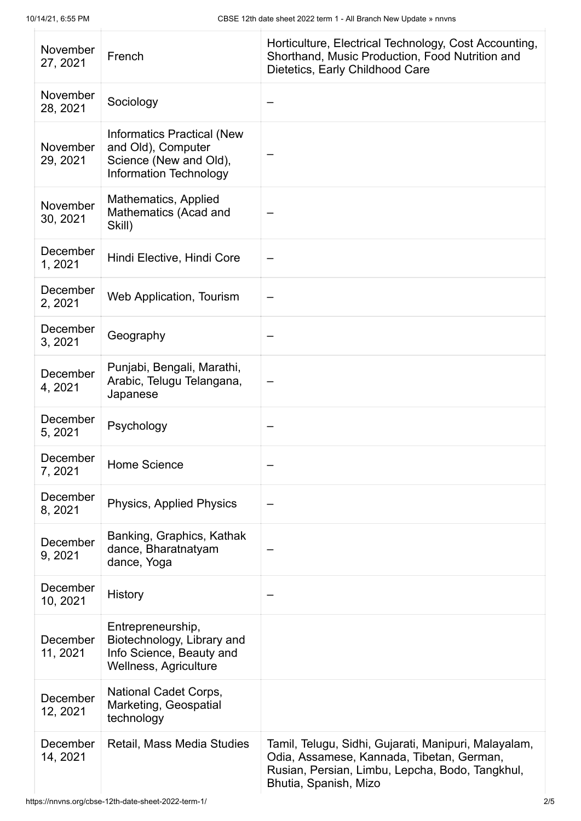| November<br>27, 2021 | French                                                                                                             | Horticulture, Electrical Technology, Cost Accounting,<br>Shorthand, Music Production, Food Nutrition and<br>Dietetics, Early Childhood Care                                   |
|----------------------|--------------------------------------------------------------------------------------------------------------------|-------------------------------------------------------------------------------------------------------------------------------------------------------------------------------|
| November<br>28, 2021 | Sociology                                                                                                          |                                                                                                                                                                               |
| November<br>29, 2021 | <b>Informatics Practical (New</b><br>and Old), Computer<br>Science (New and Old),<br><b>Information Technology</b> |                                                                                                                                                                               |
| November<br>30, 2021 | Mathematics, Applied<br>Mathematics (Acad and<br>Skill)                                                            |                                                                                                                                                                               |
| December<br>1, 2021  | Hindi Elective, Hindi Core                                                                                         |                                                                                                                                                                               |
| December<br>2, 2021  | Web Application, Tourism                                                                                           |                                                                                                                                                                               |
| December<br>3, 2021  | Geography                                                                                                          |                                                                                                                                                                               |
| December<br>4, 2021  | Punjabi, Bengali, Marathi,<br>Arabic, Telugu Telangana,<br>Japanese                                                |                                                                                                                                                                               |
| December<br>5, 2021  | Psychology                                                                                                         |                                                                                                                                                                               |
| December<br>7, 2021  | Home Science                                                                                                       |                                                                                                                                                                               |
| December<br>8, 2021  | <b>Physics, Applied Physics</b>                                                                                    |                                                                                                                                                                               |
| December<br>9, 2021  | Banking, Graphics, Kathak<br>dance, Bharatnatyam<br>dance, Yoga                                                    |                                                                                                                                                                               |
| December<br>10, 2021 | History                                                                                                            |                                                                                                                                                                               |
| December<br>11, 2021 | Entrepreneurship,<br>Biotechnology, Library and<br>Info Science, Beauty and<br>Wellness, Agriculture               |                                                                                                                                                                               |
| December<br>12, 2021 | National Cadet Corps,<br>Marketing, Geospatial<br>technology                                                       |                                                                                                                                                                               |
| December<br>14, 2021 | Retail, Mass Media Studies                                                                                         | Tamil, Telugu, Sidhi, Gujarati, Manipuri, Malayalam,<br>Odia, Assamese, Kannada, Tibetan, German,<br>Rusian, Persian, Limbu, Lepcha, Bodo, Tangkhul,<br>Bhutia, Spanish, Mizo |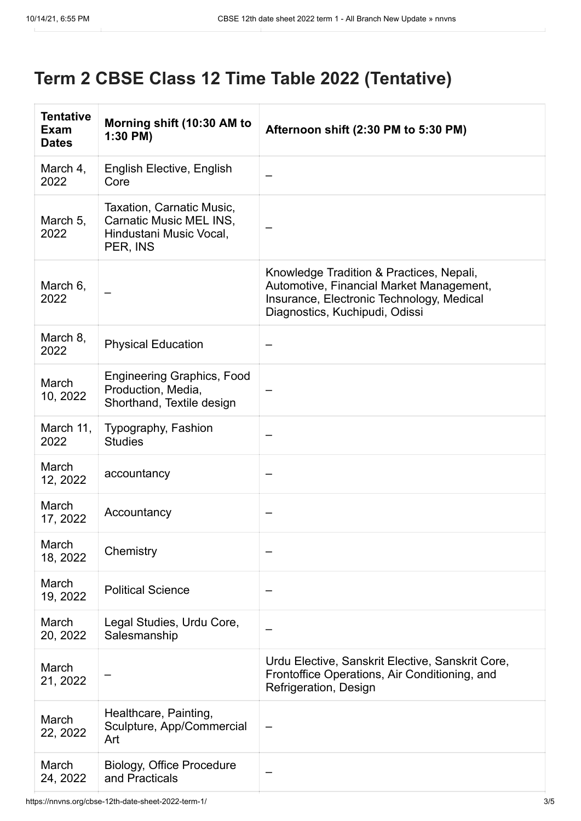## **Term 2 CBSE Class 12 Time Table 2022 (Tentative)**

| <b>Tentative</b><br>Exam<br><b>Dates</b> | Morning shift (10:30 AM to<br>$1:30$ PM)                                                    | Afternoon shift (2:30 PM to 5:30 PM)                                                                                                                                |
|------------------------------------------|---------------------------------------------------------------------------------------------|---------------------------------------------------------------------------------------------------------------------------------------------------------------------|
| March 4,<br>2022                         | English Elective, English<br>Core                                                           |                                                                                                                                                                     |
| March 5,<br>2022                         | Taxation, Carnatic Music,<br>Carnatic Music MEL INS,<br>Hindustani Music Vocal,<br>PER, INS |                                                                                                                                                                     |
| March 6,<br>2022                         |                                                                                             | Knowledge Tradition & Practices, Nepali,<br>Automotive, Financial Market Management,<br>Insurance, Electronic Technology, Medical<br>Diagnostics, Kuchipudi, Odissi |
| March 8,<br>2022                         | <b>Physical Education</b>                                                                   |                                                                                                                                                                     |
| March<br>10, 2022                        | <b>Engineering Graphics, Food</b><br>Production, Media,<br>Shorthand, Textile design        |                                                                                                                                                                     |
| March 11,<br>2022                        | Typography, Fashion<br><b>Studies</b>                                                       |                                                                                                                                                                     |
| March<br>12, 2022                        | accountancy                                                                                 |                                                                                                                                                                     |
| March<br>17, 2022                        | Accountancy                                                                                 |                                                                                                                                                                     |
| March<br>18, 2022                        | Chemistry                                                                                   |                                                                                                                                                                     |
| March<br>19, 2022                        | <b>Political Science</b>                                                                    |                                                                                                                                                                     |
| March<br>20, 2022                        | Legal Studies, Urdu Core,<br>Salesmanship                                                   |                                                                                                                                                                     |
| March<br>21, 2022                        |                                                                                             | Urdu Elective, Sanskrit Elective, Sanskrit Core,<br>Frontoffice Operations, Air Conditioning, and<br>Refrigeration, Design                                          |
| March<br>22, 2022                        | Healthcare, Painting,<br>Sculpture, App/Commercial<br>Art                                   |                                                                                                                                                                     |
| March<br>24, 2022                        | <b>Biology, Office Procedure</b><br>and Practicals                                          |                                                                                                                                                                     |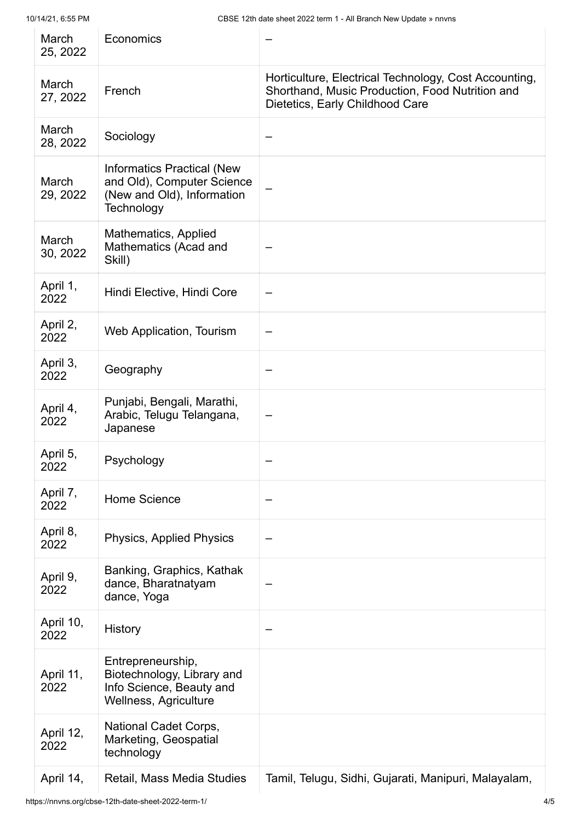| March<br>25, 2022 | Economics                                                                                                   |                                                                                                                                             |
|-------------------|-------------------------------------------------------------------------------------------------------------|---------------------------------------------------------------------------------------------------------------------------------------------|
| March<br>27, 2022 | French                                                                                                      | Horticulture, Electrical Technology, Cost Accounting,<br>Shorthand, Music Production, Food Nutrition and<br>Dietetics, Early Childhood Care |
| March<br>28, 2022 | Sociology                                                                                                   |                                                                                                                                             |
| March<br>29, 2022 | <b>Informatics Practical (New</b><br>and Old), Computer Science<br>(New and Old), Information<br>Technology |                                                                                                                                             |
| March<br>30, 2022 | Mathematics, Applied<br>Mathematics (Acad and<br>Skill)                                                     |                                                                                                                                             |
| April 1,<br>2022  | Hindi Elective, Hindi Core                                                                                  |                                                                                                                                             |
| April 2,<br>2022  | Web Application, Tourism                                                                                    |                                                                                                                                             |
| April 3,<br>2022  | Geography                                                                                                   |                                                                                                                                             |
| April 4,<br>2022  | Punjabi, Bengali, Marathi,<br>Arabic, Telugu Telangana,<br>Japanese                                         |                                                                                                                                             |
| April 5,<br>2022  | Psychology                                                                                                  |                                                                                                                                             |
| April 7,<br>2022  | <b>Home Science</b>                                                                                         |                                                                                                                                             |
| April 8,<br>2022  | Physics, Applied Physics                                                                                    |                                                                                                                                             |
| April 9,<br>2022  | Banking, Graphics, Kathak<br>dance, Bharatnatyam<br>dance, Yoga                                             |                                                                                                                                             |
| April 10,<br>2022 | <b>History</b>                                                                                              |                                                                                                                                             |
| April 11,<br>2022 | Entrepreneurship,<br>Biotechnology, Library and<br>Info Science, Beauty and<br>Wellness, Agriculture        |                                                                                                                                             |
| April 12,<br>2022 | National Cadet Corps,<br>Marketing, Geospatial<br>technology                                                |                                                                                                                                             |
| April 14,         | Retail, Mass Media Studies                                                                                  | Tamil, Telugu, Sidhi, Gujarati, Manipuri, Malayalam,                                                                                        |